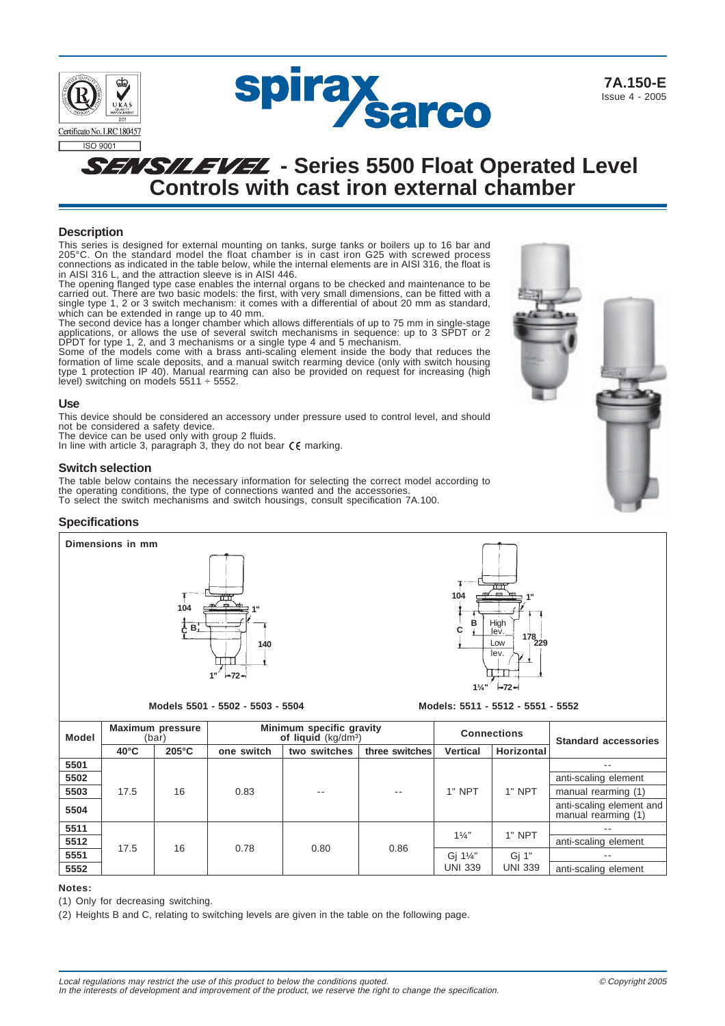

# **Description**

This series is designed for external mounting on tanks, surge tanks or boilers up to 16 bar and 205°C. On the standard model the float chamber is in cast iron G25 with screwed process connections as indicated in the table below, while the internal elements are in AISI 316, the float is in AISI 316 L, and the attraction sleeve is in AISI 446.

The opening flanged type case enables the internal organs to be checked and maintenance to be carried out. There are two basic models: the first, with very small dimensions, can be fitted with a single type 1, 2 or 3 switch mechanism: it comes with a differential of about 20 mm as standard, which can be extended in range up to 40 mm.

The second device has a longer chamber which allows differentials of up to 75 mm in single-stage applications, or allows the use of several switch mechanisms in sequence: up to 3 SPDT or 2 DPDT for type 1, 2, and 3 mechanisms or a single type 4 and 5 mechanism. Some of the models come with a brass anti-scaling element inside the body that reduces the

formation of lime scale deposits, and a manual switch rearming device (only with switch housing type 1 protection IP 40). Manual rearming can also be provided on request for increasing (high level) switching on models  $5511 \div 5552$ .

#### **Use**

This device should be considered an accessory under pressure used to control level, and should not be considered a safety device.

The device can be used only with group 2 fluids.

In line with article 3, paragraph 3, they do not bear  $\zeta \zeta$  marking.

#### **Switch selection**

The table below contains the necessary information for selecting the correct model according to the operating conditions, the type of connections wanted and the accessories. To select the switch mechanisms and switch housings, consult specification 7A.100.

### **Specifications**





**Models 5501 - 5502 - 5503 - 5504 Models: 5511 - 5512 - 5551 - 5552**

| <b>Model</b> | <b>Maximum pressure</b><br>(bar) |                 | Minimum specific gravity<br>of liquid (kg/dm <sup>3</sup> ) |              |                | <b>Connections</b>         |                         | <b>Standard accessories</b>                     |  |
|--------------|----------------------------------|-----------------|-------------------------------------------------------------|--------------|----------------|----------------------------|-------------------------|-------------------------------------------------|--|
|              | $40^{\circ}$ C                   | $205^{\circ}$ C | one switch                                                  | two switches | three switches | <b>Vertical</b>            | <b>Horizontal</b>       |                                                 |  |
| 5501         |                                  |                 |                                                             |              |                |                            |                         | $- -$                                           |  |
| 5502         |                                  |                 |                                                             |              |                |                            |                         | anti-scaling element                            |  |
| 5503         | 17.5                             | 16              | 0.83                                                        | $- -$        | --             | $1"$ NPT                   | 1" NPT                  | manual rearming (1)                             |  |
| 5504         |                                  |                 |                                                             |              |                |                            |                         | anti-scaling element and<br>manual rearming (1) |  |
| 5511         | 17.5                             | 16              | 0.78                                                        | 0.80         | 0.86           | $1\frac{1}{4}$             | 1" NPT                  | $- -$                                           |  |
| 5512         |                                  |                 |                                                             |              |                |                            |                         | anti-scaling element                            |  |
| 5551         |                                  |                 |                                                             |              |                | Gi 11/4"<br><b>UNI 339</b> | Gj 1"<br><b>UNI 339</b> | $- -$                                           |  |
| 5552         |                                  |                 |                                                             |              |                |                            |                         | anti-scaling element                            |  |

#### **Notes:**

(1) Only for decreasing switching.

(2) Heights B and C, relating to switching levels are given in the table on the following page.